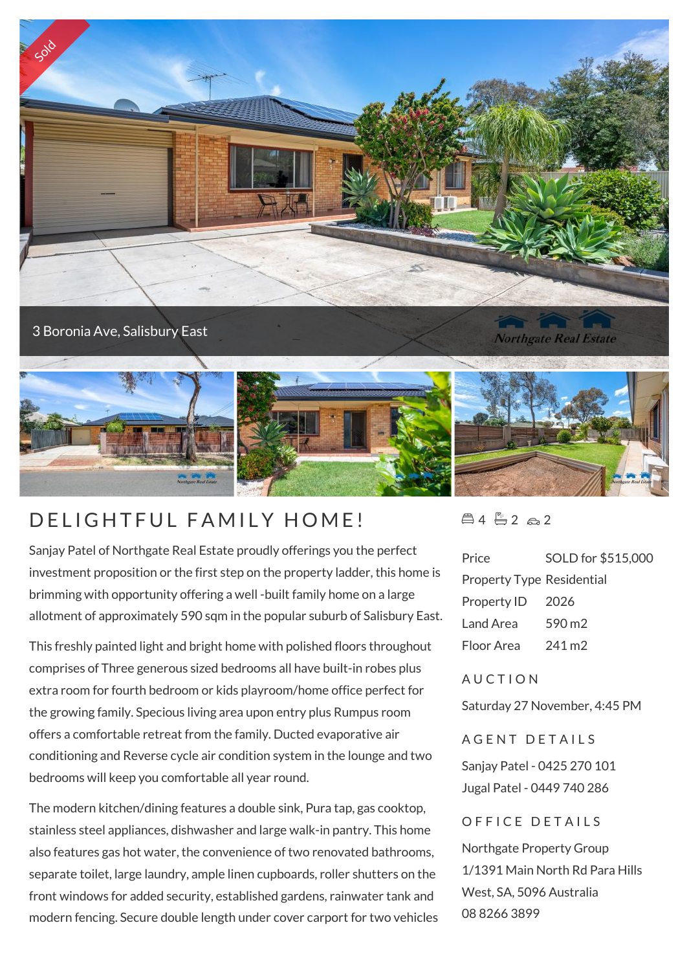

3 Boronia Ave, Salisbury East

**Northgate Real Estate** 



## D FLIGHTEUL FAMILY HOME!

Sanjay Patel of Northgate Real Estate proudly offerings you the perfect investment proposition or the first step on the property ladder, this home is brimming with opportunity offering a well -built family home on a large allotment of approximately 590 sqm in the popular suburb of Salisbury East.

This freshly painted light and bright home with polished floors throughout comprises of Three generous sized bedrooms all have built-in robes plus extra room for fourth bedroom or kids playroom/home office perfect for the growing family. Specious living area upon entry plus Rumpus room offers a comfortable retreat from the family. Ducted evaporative air conditioning and Reverse cycle air condition system in the lounge and two bedrooms will keep you comfortable all year round.

The modern kitchen/dining features a double sink, Pura tap, gas cooktop, stainless steel appliances, dishwasher and large walk-in pantry. This home also features gas hot water, the convenience of two renovated bathrooms, separate toilet, large laundry, ample linen cupboards, roller shutters on the front windows for added security, established gardens, rainwater tank and modern fencing. Secure double length under cover carport for two vehicles  $\triangle 4 \triangle 2 \triangle 2$ 

| Price                            | SOLD for \$515,000 |
|----------------------------------|--------------------|
| <b>Property Type Residential</b> |                    |
| Property ID                      | - 2026             |
| Land Area                        | 590 m2             |
| Floor Area                       | 241 m <sub>2</sub> |

## **AUCTION**

Saturday 27 November, 4:45 PM

A GENT DETAILS

Sanjay Patel - 0425 270 101 Jugal Patel - 0449 740 286

## OFFICE DETAILS

Northgate Property Group 1/1391 Main North Rd Para Hills West, SA, 5096 Australia 08 8266 3899